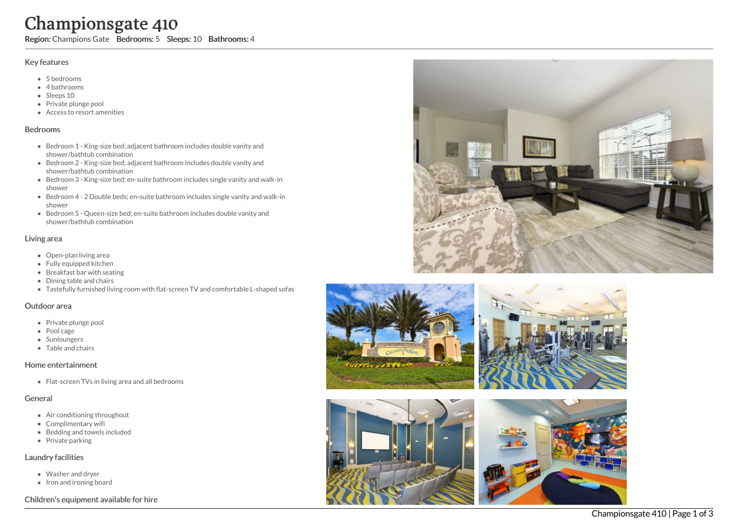# Championsgate 410

Region: Champions Gate Bedrooms: 5 Sleeps: 10 Bathrooms: 4

### Key features

- 5 b e d r o o m s
- 4 bathrooms
- Sleeps 10
- Private plunge pool
- Access to resort amenities

#### **Bedrooms**

- Bedroom 1 King-size bed; adjacent bathroom includes double vanity and shower/bathtub combination
- Bedroom 2 King-size bed; adjacent bathroom includes double vanity and shower/bathtub combination
- Bedroom 3 King-size bed; en-suite bathroom includes single vanity and walk-in s h o w e r
- Bedroom 4 2 Double beds; en-suite bathroom includes single vanity and walk-in s h o w e r
- Bedroom 5 Queen-size bed; en-suite bathroom includes double vanity and shower/bathtub combination

### Living area

- Open-plan living area
- Fully equipped kitchen
- Breakfast bar with seating
- Dining table and chairs
- Tastefully furnished living room with flat-screen TV and comfortable L-shaped sofas

#### Outdoor area

- Private plunge pool
- Pool cage
- Sunloungers
- Table and chairs

## Home entertainment

Flat-screen TVs in living area and all bedrooms

## General

- Air conditioning throughout
- Complimentary wifi
- Bedding and towels in clu d e d
- Private parking

## Laundry facilities

- Washer and dryer
- Iron and ironing board

## Children's equipment available for hire









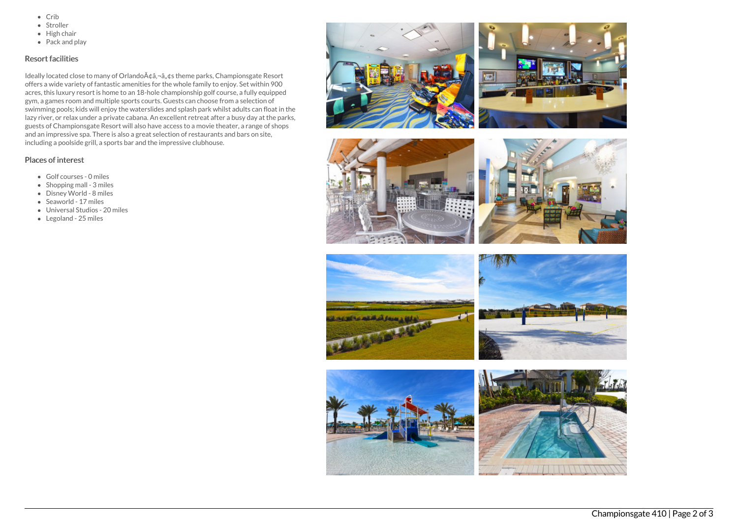- $\bullet$  Crib
- Stroller
- $\bullet$  High chair
- Pack and play

## Resort facilities

Ideally located close to many of Orlando A¢â,¬â, ¢s theme parks, Championsgate Resort offers a wide variety of fantastic amenities for the whole family to enjoy. Set within 900 acres, this luxury resort is home to an 18-hole championship golf course, a fully equipped gym, a games room and multiple sports courts. Guests can choose from a selection of swimming pools; kids will enjoy the waterslides and splash park whilst adults can float in the lazy river, or relax under a private cabana. An excellent retreat after a busy day at the parks, guests of Championsgate Resort will also have access to a movie theater, a range of shops and an impressive spa. There is also a great selection of restaurants and bars on site, including a poolside grill, a sports bar and the impressive clubhouse.

# Places of interest

- Golf courses 0 miles
- $\bullet$  Shopping mall 3 miles
- Disney World 8 miles
- Seaworld 17 miles
- Universal Studios 20 miles
- Legoland 25 miles